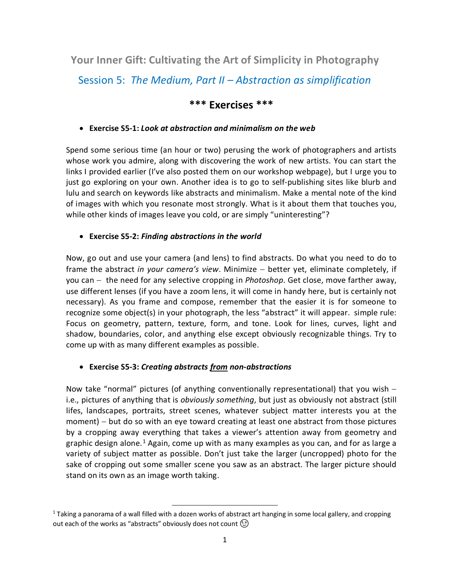**Your Inner Gift: Cultivating the Art of Simplicity in Photography**

Session 5: *The Medium, Part II – Abstraction as simplification*

## **\*\*\* Exercises \*\*\***

## • **Exercise S5-1:** *Look at abstraction and minimalism on the web*

Spend some serious time (an hour or two) perusing the work of photographers and artists whose work you admire, along with discovering the work of new artists. You can start the links I provided earlier (I've also posted them on our workshop webpage), but I urge you to just go exploring on your own. Another idea is to go to self-publishing sites like blurb and lulu and search on keywords like abstracts and minimalism. Make a mental note of the kind of images with which you resonate most strongly. What is it about them that touches you, while other kinds of images leave you cold, or are simply "uninteresting"?

## • **Exercise S5-2:** *Finding abstractions in the world*

Now, go out and use your camera (and lens) to find abstracts. Do what you need to do to frame the abstract *in your camera's view*. Minimize – better yet, eliminate completely, if you can − the need for any selective cropping in *Photoshop*. Get close, move farther away, use different lenses (if you have a zoom lens, it will come in handy here, but is certainly not necessary). As you frame and compose, remember that the easier it is for someone to recognize some object(s) in your photograph, the less "abstract" it will appear. simple rule: Focus on geometry, pattern, texture, form, and tone. Look for lines, curves, light and shadow, boundaries, color, and anything else except obviously recognizable things. Try to come up with as many different examples as possible.

## • **Exercise S5-3:** *Creating abstracts from non-abstractions*

Now take "normal" pictures (of anything conventionally representational) that you wish − i.e., pictures of anything that is *obviously something*, but just as obviously not abstract (still lifes, landscapes, portraits, street scenes, whatever subject matter interests you at the moment) – but do so with an eye toward creating at least one abstract from those pictures by a cropping away everything that takes a viewer's attention away from geometry and graphic design alone.<sup>[1](#page-0-0)</sup> Again, come up with as many examples as you can, and for as large a variety of subject matter as possible. Don't just take the larger (uncropped) photo for the sake of cropping out some smaller scene you saw as an abstract. The larger picture should stand on its own as an image worth taking.

<span id="page-0-0"></span> $1$  Taking a panorama of a wall filled with a dozen works of abstract art hanging in some local gallery, and cropping out each of the works as "abstracts" obviously does not count  $\circled{?}$